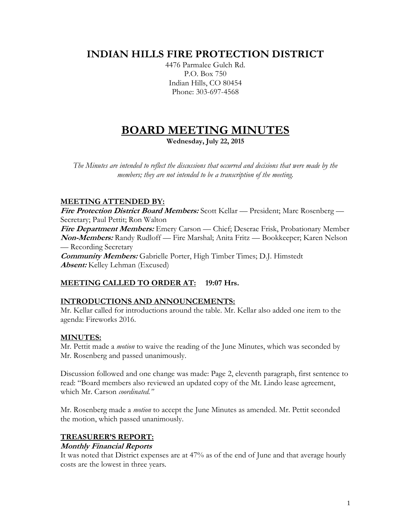# **INDIAN HILLS FIRE PROTECTION DISTRICT**

4476 Parmalee Gulch Rd. P.O. Box 750 Indian Hills, CO 80454 Phone: 303-697-4568

# **BOARD MEETING MINUTES**

**Wednesday, July 22, 2015**

*The Minutes are intended to reflect the discussions that occurred and decisions that were made by the members; they are not intended to be a transcription of the meeting.*

# **MEETING ATTENDED BY:**

**Fire Protection District Board Members:** Scott Kellar — President; Marc Rosenberg — Secretary; Paul Pettit; Ron Walton **Fire Department Members:** Emery Carson — Chief; Deserae Frisk, Probationary Member **Non-Members:** Randy Rudloff — Fire Marshal; Anita Fritz — Bookkeeper; Karen Nelson — Recording Secretary **Community Members:** Gabrielle Porter, High Timber Times; D.J. Himstedt **Absent:** Kelley Lehman (Excused)

# **MEETING CALLED TO ORDER AT: 19:07 Hrs.**

# **INTRODUCTIONS AND ANNOUNCEMENTS:**

Mr. Kellar called for introductions around the table. Mr. Kellar also added one item to the agenda: Fireworks 2016.

# **MINUTES:**

Mr. Pettit made a *motion* to waive the reading of the June Minutes, which was seconded by Mr. Rosenberg and passed unanimously.

Discussion followed and one change was made: Page 2, eleventh paragraph, first sentence to read: "Board members also reviewed an updated copy of the Mt. Lindo lease agreement, which Mr. Carson *coordinated."*

Mr. Rosenberg made a *motion* to accept the June Minutes as amended. Mr. Pettit seconded the motion, which passed unanimously.

# **TREASURER'S REPORT:**

# **Monthly Financial Reports**

It was noted that District expenses are at 47% as of the end of June and that average hourly costs are the lowest in three years.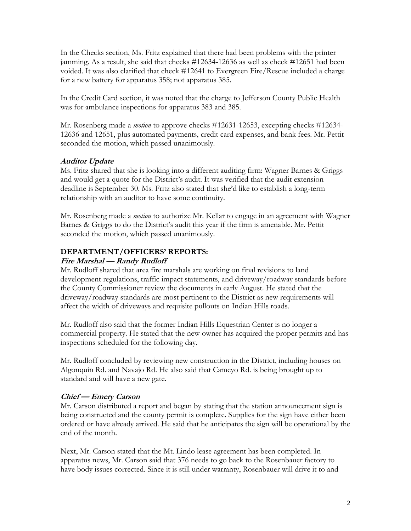In the Checks section, Ms. Fritz explained that there had been problems with the printer jamming. As a result, she said that checks #12634-12636 as well as check #12651 had been voided. It was also clarified that check #12641 to Evergreen Fire/Rescue included a charge for a new battery for apparatus 358; not apparatus 385.

In the Credit Card section, it was noted that the charge to Jefferson County Public Health was for ambulance inspections for apparatus 383 and 385.

Mr. Rosenberg made a *motion* to approve checks #12631-12653, excepting checks #12634- 12636 and 12651, plus automated payments, credit card expenses, and bank fees. Mr. Pettit seconded the motion, which passed unanimously.

#### **Auditor Update**

Ms. Fritz shared that she is looking into a different auditing firm: Wagner Barnes & Griggs and would get a quote for the District's audit. It was verified that the audit extension deadline is September 30. Ms. Fritz also stated that she'd like to establish a long-term relationship with an auditor to have some continuity.

Mr. Rosenberg made a *motion* to authorize Mr. Kellar to engage in an agreement with Wagner Barnes & Griggs to do the District's audit this year if the firm is amenable. Mr. Pettit seconded the motion, which passed unanimously.

# **DEPARTMENT/OFFICERS' REPORTS:**

#### **Fire Marshal — Randy Rudloff**

Mr. Rudloff shared that area fire marshals are working on final revisions to land development regulations, traffic impact statements, and driveway/roadway standards before the County Commissioner review the documents in early August. He stated that the driveway/roadway standards are most pertinent to the District as new requirements will affect the width of driveways and requisite pullouts on Indian Hills roads.

Mr. Rudloff also said that the former Indian Hills Equestrian Center is no longer a commercial property. He stated that the new owner has acquired the proper permits and has inspections scheduled for the following day.

Mr. Rudloff concluded by reviewing new construction in the District, including houses on Algonquin Rd. and Navajo Rd. He also said that Cameyo Rd. is being brought up to standard and will have a new gate.

# **Chief — Emery Carson**

Mr. Carson distributed a report and began by stating that the station announcement sign is being constructed and the county permit is complete. Supplies for the sign have either been ordered or have already arrived. He said that he anticipates the sign will be operational by the end of the month.

Next, Mr. Carson stated that the Mt. Lindo lease agreement has been completed. In apparatus news, Mr. Carson said that 376 needs to go back to the Rosenbauer factory to have body issues corrected. Since it is still under warranty, Rosenbauer will drive it to and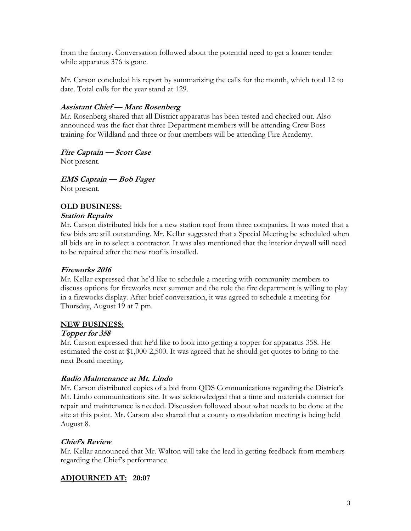from the factory. Conversation followed about the potential need to get a loaner tender while apparatus 376 is gone.

Mr. Carson concluded his report by summarizing the calls for the month, which total 12 to date. Total calls for the year stand at 129.

#### **Assistant Chief — Marc Rosenberg**

Mr. Rosenberg shared that all District apparatus has been tested and checked out. Also announced was the fact that three Department members will be attending Crew Boss training for Wildland and three or four members will be attending Fire Academy.

#### **Fire Captain — Scott Case**

Not present.

**EMS Captain — Bob Fager**

Not present.

# **OLD BUSINESS:**

#### **Station Repairs**

Mr. Carson distributed bids for a new station roof from three companies. It was noted that a few bids are still outstanding. Mr. Kellar suggested that a Special Meeting be scheduled when all bids are in to select a contractor. It was also mentioned that the interior drywall will need to be repaired after the new roof is installed.

#### **Fireworks 2016**

Mr. Kellar expressed that he'd like to schedule a meeting with community members to discuss options for fireworks next summer and the role the fire department is willing to play in a fireworks display. After brief conversation, it was agreed to schedule a meeting for Thursday, August 19 at 7 pm.

#### **NEW BUSINESS:**

#### **Topper for 358**

Mr. Carson expressed that he'd like to look into getting a topper for apparatus 358. He estimated the cost at \$1,000-2,500. It was agreed that he should get quotes to bring to the next Board meeting.

# **Radio Maintenance at Mt. Lindo**

Mr. Carson distributed copies of a bid from QDS Communications regarding the District's Mt. Lindo communications site. It was acknowledged that a time and materials contract for repair and maintenance is needed. Discussion followed about what needs to be done at the site at this point. Mr. Carson also shared that a county consolidation meeting is being held August 8.

# **Chief's Review**

Mr. Kellar announced that Mr. Walton will take the lead in getting feedback from members regarding the Chief's performance.

# **ADJOURNED AT: 20:07**